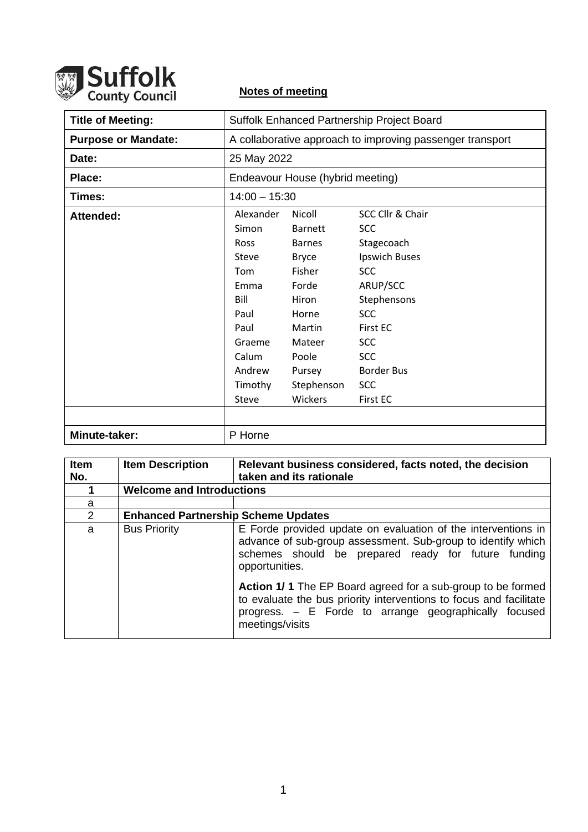

## **Notes of meeting**

| <b>Title of Meeting:</b>   | Suffolk Enhanced Partnership Project Board                                                                                         |                                                                                                                                                                |                                                                                                                                                                                                                    |
|----------------------------|------------------------------------------------------------------------------------------------------------------------------------|----------------------------------------------------------------------------------------------------------------------------------------------------------------|--------------------------------------------------------------------------------------------------------------------------------------------------------------------------------------------------------------------|
| <b>Purpose or Mandate:</b> | A collaborative approach to improving passenger transport                                                                          |                                                                                                                                                                |                                                                                                                                                                                                                    |
| Date:                      | 25 May 2022                                                                                                                        |                                                                                                                                                                |                                                                                                                                                                                                                    |
| Place:                     | Endeavour House (hybrid meeting)                                                                                                   |                                                                                                                                                                |                                                                                                                                                                                                                    |
| Times:                     | $14:00 - 15:30$                                                                                                                    |                                                                                                                                                                |                                                                                                                                                                                                                    |
| Attended:                  | Alexander<br>Simon<br><b>Ross</b><br>Steve<br>Tom<br>Emma<br>Bill<br>Paul<br>Paul<br>Graeme<br>Calum<br>Andrew<br>Timothy<br>Steve | Nicoll<br><b>Barnett</b><br><b>Barnes</b><br><b>Bryce</b><br>Fisher<br>Forde<br>Hiron<br>Horne<br>Martin<br>Mateer<br>Poole<br>Pursey<br>Stephenson<br>Wickers | SCC Cllr & Chair<br><b>SCC</b><br>Stagecoach<br>Ipswich Buses<br><b>SCC</b><br>ARUP/SCC<br>Stephensons<br><b>SCC</b><br><b>First EC</b><br><b>SCC</b><br><b>SCC</b><br><b>Border Bus</b><br><b>SCC</b><br>First EC |
|                            |                                                                                                                                    |                                                                                                                                                                |                                                                                                                                                                                                                    |
| Minute-taker:              | P Horne                                                                                                                            |                                                                                                                                                                |                                                                                                                                                                                                                    |

| <b>Item</b><br>No. | <b>Item Description</b>                    | Relevant business considered, facts noted, the decision<br>taken and its rationale                                                                                                                                   |  |  |
|--------------------|--------------------------------------------|----------------------------------------------------------------------------------------------------------------------------------------------------------------------------------------------------------------------|--|--|
|                    | <b>Welcome and Introductions</b>           |                                                                                                                                                                                                                      |  |  |
| a                  |                                            |                                                                                                                                                                                                                      |  |  |
| 2                  | <b>Enhanced Partnership Scheme Updates</b> |                                                                                                                                                                                                                      |  |  |
| a                  | <b>Bus Priority</b>                        | E Forde provided update on evaluation of the interventions in<br>advance of sub-group assessment. Sub-group to identify which<br>schemes should be prepared ready for future funding<br>opportunities.               |  |  |
|                    |                                            | <b>Action 1/1</b> The EP Board agreed for a sub-group to be formed<br>to evaluate the bus priority interventions to focus and facilitate<br>progress. - E Forde to arrange geographically focused<br>meetings/visits |  |  |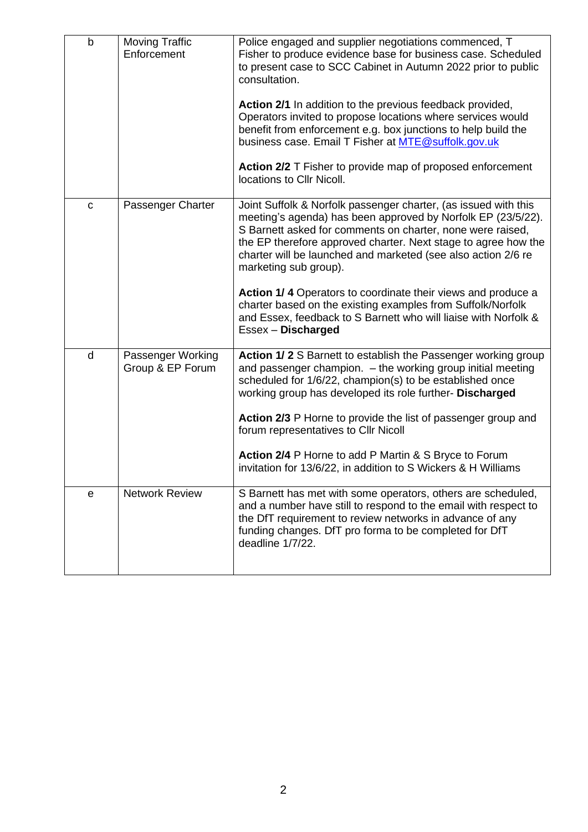| $\mathsf b$ | <b>Moving Traffic</b><br>Enforcement  | Police engaged and supplier negotiations commenced, T<br>Fisher to produce evidence base for business case. Scheduled<br>to present case to SCC Cabinet in Autumn 2022 prior to public<br>consultation.                                                                                                                                                   |
|-------------|---------------------------------------|-----------------------------------------------------------------------------------------------------------------------------------------------------------------------------------------------------------------------------------------------------------------------------------------------------------------------------------------------------------|
|             |                                       | Action 2/1 In addition to the previous feedback provided,<br>Operators invited to propose locations where services would<br>benefit from enforcement e.g. box junctions to help build the<br>business case. Email T Fisher at MTE@suffolk.gov.uk                                                                                                          |
|             |                                       | Action 2/2 T Fisher to provide map of proposed enforcement<br>locations to Cllr Nicoll.                                                                                                                                                                                                                                                                   |
| $\mathbf C$ | Passenger Charter                     | Joint Suffolk & Norfolk passenger charter, (as issued with this<br>meeting's agenda) has been approved by Norfolk EP (23/5/22).<br>S Barnett asked for comments on charter, none were raised,<br>the EP therefore approved charter. Next stage to agree how the<br>charter will be launched and marketed (see also action 2/6 re<br>marketing sub group). |
|             |                                       | Action 1/4 Operators to coordinate their views and produce a<br>charter based on the existing examples from Suffolk/Norfolk<br>and Essex, feedback to S Barnett who will liaise with Norfolk &<br>Essex - Discharged                                                                                                                                      |
| d           | Passenger Working<br>Group & EP Forum | Action 1/2 S Barnett to establish the Passenger working group<br>and passenger champion. - the working group initial meeting<br>scheduled for 1/6/22, champion(s) to be established once<br>working group has developed its role further- Discharged                                                                                                      |
|             |                                       | Action 2/3 P Horne to provide the list of passenger group and<br>forum representatives to Cllr Nicoll                                                                                                                                                                                                                                                     |
|             |                                       | Action 2/4 P Horne to add P Martin & S Bryce to Forum<br>invitation for 13/6/22, in addition to S Wickers & H Williams                                                                                                                                                                                                                                    |
| e           | <b>Network Review</b>                 | S Barnett has met with some operators, others are scheduled,<br>and a number have still to respond to the email with respect to<br>the DfT requirement to review networks in advance of any<br>funding changes. DfT pro forma to be completed for DfT<br>deadline 1/7/22.                                                                                 |